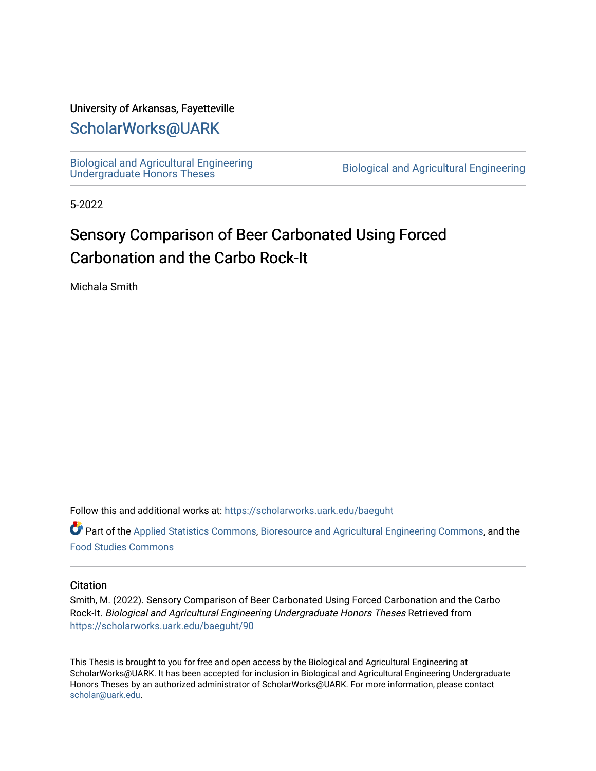#### University of Arkansas, Fayetteville

# [ScholarWorks@UARK](https://scholarworks.uark.edu/)

[Biological and Agricultural Engineering](https://scholarworks.uark.edu/baeguht) 

Biological and Agricultural Engineering

5-2022

# Sensory Comparison of Beer Carbonated Using Forced Carbonation and the Carbo Rock-It

Michala Smith

Follow this and additional works at: [https://scholarworks.uark.edu/baeguht](https://scholarworks.uark.edu/baeguht?utm_source=scholarworks.uark.edu%2Fbaeguht%2F90&utm_medium=PDF&utm_campaign=PDFCoverPages) 

Part of the [Applied Statistics Commons](http://network.bepress.com/hgg/discipline/209?utm_source=scholarworks.uark.edu%2Fbaeguht%2F90&utm_medium=PDF&utm_campaign=PDFCoverPages), [Bioresource and Agricultural Engineering Commons,](http://network.bepress.com/hgg/discipline/1056?utm_source=scholarworks.uark.edu%2Fbaeguht%2F90&utm_medium=PDF&utm_campaign=PDFCoverPages) and the [Food Studies Commons](http://network.bepress.com/hgg/discipline/1386?utm_source=scholarworks.uark.edu%2Fbaeguht%2F90&utm_medium=PDF&utm_campaign=PDFCoverPages) 

#### **Citation**

Smith, M. (2022). Sensory Comparison of Beer Carbonated Using Forced Carbonation and the Carbo Rock-It. Biological and Agricultural Engineering Undergraduate Honors Theses Retrieved from [https://scholarworks.uark.edu/baeguht/90](https://scholarworks.uark.edu/baeguht/90?utm_source=scholarworks.uark.edu%2Fbaeguht%2F90&utm_medium=PDF&utm_campaign=PDFCoverPages) 

This Thesis is brought to you for free and open access by the Biological and Agricultural Engineering at ScholarWorks@UARK. It has been accepted for inclusion in Biological and Agricultural Engineering Undergraduate Honors Theses by an authorized administrator of ScholarWorks@UARK. For more information, please contact [scholar@uark.edu](mailto:scholar@uark.edu).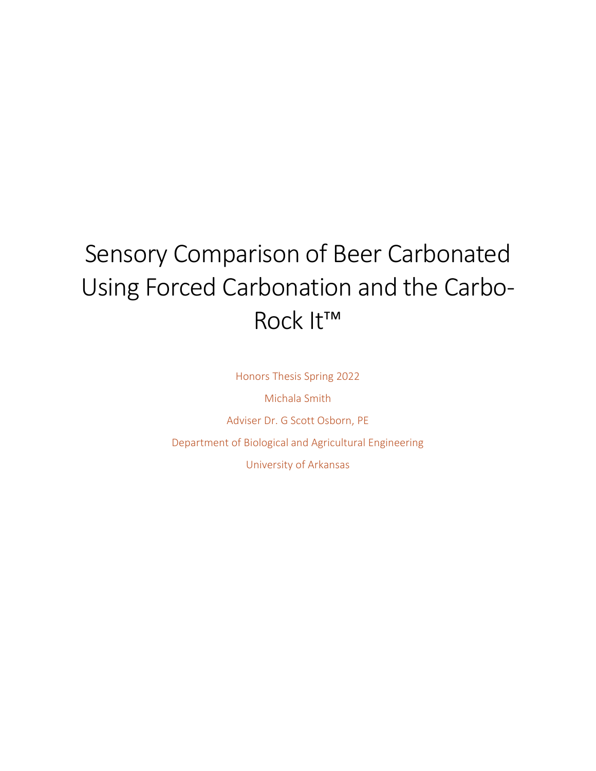# Sensory Comparison of Beer Carbonated Using Forced Carbonation and the Carbo-Rock It™

Honors Thesis Spring 2022

Michala Smith Adviser Dr. G Scott Osborn, PE Department of Biological and Agricultural Engineering University of Arkansas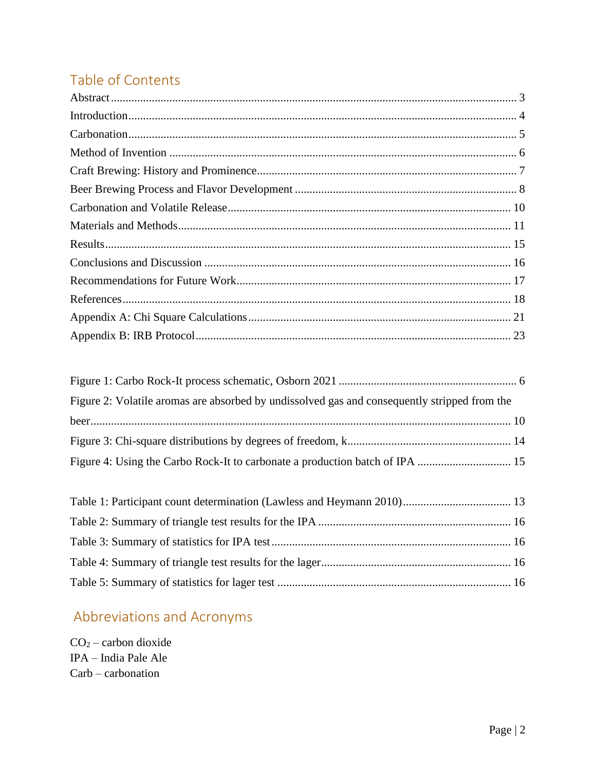# Table of Contents

| Figure 2: Volatile aromas are absorbed by undissolved gas and consequently stripped from the |  |
|----------------------------------------------------------------------------------------------|--|
|                                                                                              |  |
|                                                                                              |  |
|                                                                                              |  |

# Abbreviations and Acronyms

 $CO<sub>2</sub> - carbon dioxide$ IPA - India Pale Ale  $Carb - carbonation$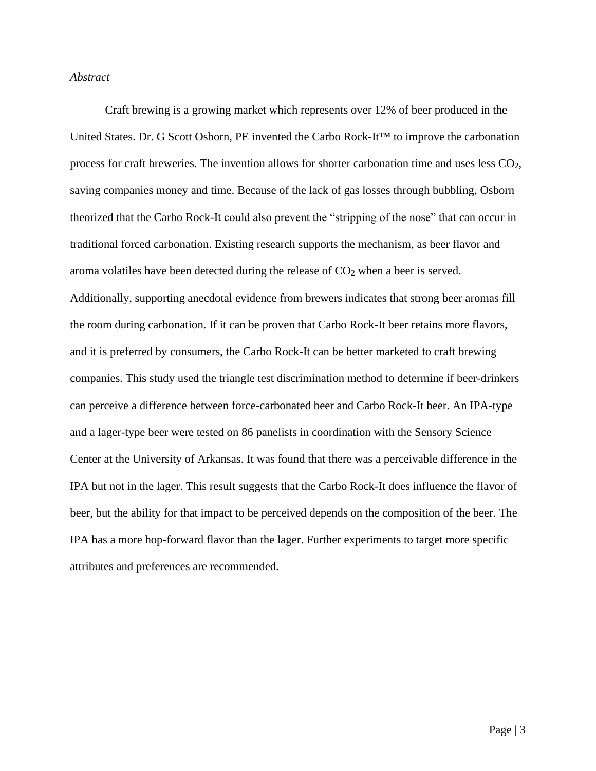#### <span id="page-3-0"></span>*Abstract*

Craft brewing is a growing market which represents over 12% of beer produced in the United States. Dr. G Scott Osborn, PE invented the Carbo Rock-It™ to improve the carbonation process for craft breweries. The invention allows for shorter carbonation time and uses less CO2, saving companies money and time. Because of the lack of gas losses through bubbling, Osborn theorized that the Carbo Rock-It could also prevent the "stripping of the nose" that can occur in traditional forced carbonation. Existing research supports the mechanism, as beer flavor and aroma volatiles have been detected during the release of  $CO<sub>2</sub>$  when a beer is served. Additionally, supporting anecdotal evidence from brewers indicates that strong beer aromas fill the room during carbonation. If it can be proven that Carbo Rock-It beer retains more flavors, and it is preferred by consumers, the Carbo Rock-It can be better marketed to craft brewing companies. This study used the triangle test discrimination method to determine if beer-drinkers can perceive a difference between force-carbonated beer and Carbo Rock-It beer. An IPA-type and a lager-type beer were tested on 86 panelists in coordination with the Sensory Science Center at the University of Arkansas. It was found that there was a perceivable difference in the IPA but not in the lager. This result suggests that the Carbo Rock-It does influence the flavor of beer, but the ability for that impact to be perceived depends on the composition of the beer. The IPA has a more hop-forward flavor than the lager. Further experiments to target more specific attributes and preferences are recommended.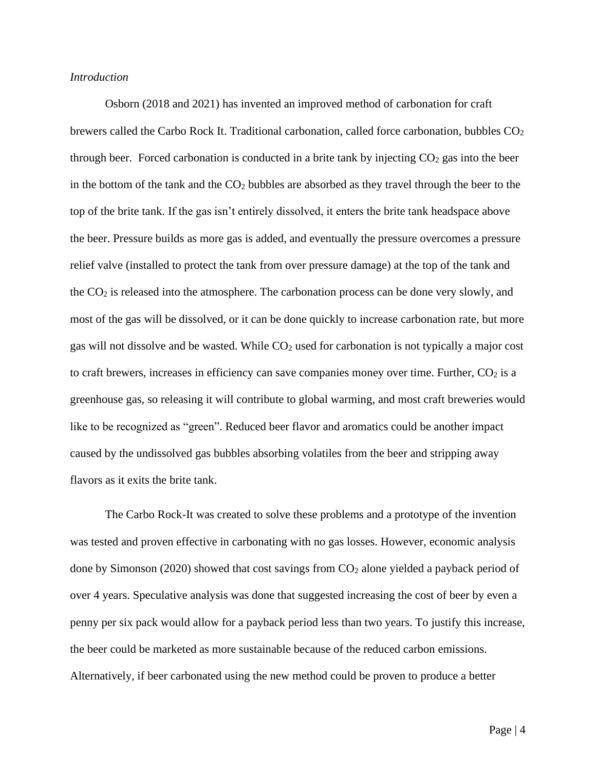#### <span id="page-4-0"></span>*Introduction*

Osborn (2018 and 2021) has invented an improved method of carbonation for craft brewers called the Carbo Rock It. Traditional carbonation, called force carbonation, bubbles  $CO<sub>2</sub>$ through beer. Forced carbonation is conducted in a brite tank by injecting  $CO<sub>2</sub>$  gas into the beer in the bottom of the tank and the  $CO<sub>2</sub>$  bubbles are absorbed as they travel through the beer to the top of the brite tank. If the gas isn't entirely dissolved, it enters the brite tank headspace above the beer. Pressure builds as more gas is added, and eventually the pressure overcomes a pressure relief valve (installed to protect the tank from over pressure damage) at the top of the tank and the CO<sup>2</sup> is released into the atmosphere. The carbonation process can be done very slowly, and most of the gas will be dissolved, or it can be done quickly to increase carbonation rate, but more gas will not dissolve and be wasted. While CO<sup>2</sup> used for carbonation is not typically a major cost to craft brewers, increases in efficiency can save companies money over time. Further,  $CO<sub>2</sub>$  is a greenhouse gas, so releasing it will contribute to global warming, and most craft breweries would like to be recognized as "green". Reduced beer flavor and aromatics could be another impact caused by the undissolved gas bubbles absorbing volatiles from the beer and stripping away flavors as it exits the brite tank.

The Carbo Rock-It was created to solve these problems and a prototype of the invention was tested and proven effective in carbonating with no gas losses. However, economic analysis done by Simonson (2020) showed that cost savings from  $CO<sub>2</sub>$  alone yielded a payback period of over 4 years. Speculative analysis was done that suggested increasing the cost of beer by even a penny per six pack would allow for a payback period less than two years. To justify this increase, the beer could be marketed as more sustainable because of the reduced carbon emissions. Alternatively, if beer carbonated using the new method could be proven to produce a better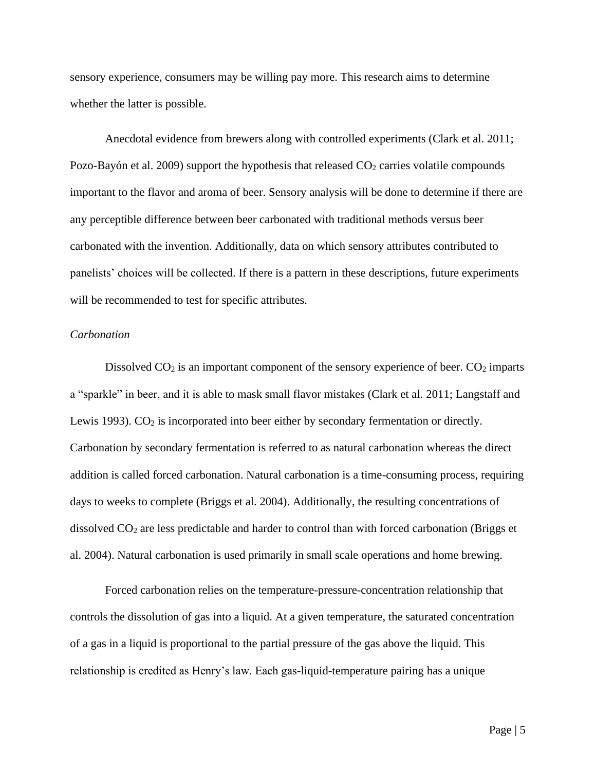sensory experience, consumers may be willing pay more. This research aims to determine whether the latter is possible.

Anecdotal evidence from brewers along with controlled experiments (Clark et al. 2011; Pozo-Bayón et al. 2009) support the hypothesis that released  $CO<sub>2</sub>$  carries volatile compounds important to the flavor and aroma of beer. Sensory analysis will be done to determine if there are any perceptible difference between beer carbonated with traditional methods versus beer carbonated with the invention. Additionally, data on which sensory attributes contributed to panelists' choices will be collected. If there is a pattern in these descriptions, future experiments will be recommended to test for specific attributes.

#### <span id="page-5-0"></span>*Carbonation*

Dissolved  $CO<sub>2</sub>$  is an important component of the sensory experience of beer.  $CO<sub>2</sub>$  imparts a "sparkle" in beer, and it is able to mask small flavor mistakes (Clark et al. 2011; Langstaff and Lewis 1993).  $CO<sub>2</sub>$  is incorporated into beer either by secondary fermentation or directly. Carbonation by secondary fermentation is referred to as natural carbonation whereas the direct addition is called forced carbonation. Natural carbonation is a time-consuming process, requiring days to weeks to complete (Briggs et al. 2004). Additionally, the resulting concentrations of dissolved  $CO<sub>2</sub>$  are less predictable and harder to control than with forced carbonation (Briggs et al. 2004). Natural carbonation is used primarily in small scale operations and home brewing.

Forced carbonation relies on the temperature-pressure-concentration relationship that controls the dissolution of gas into a liquid. At a given temperature, the saturated concentration of a gas in a liquid is proportional to the partial pressure of the gas above the liquid. This relationship is credited as Henry's law. Each gas-liquid-temperature pairing has a unique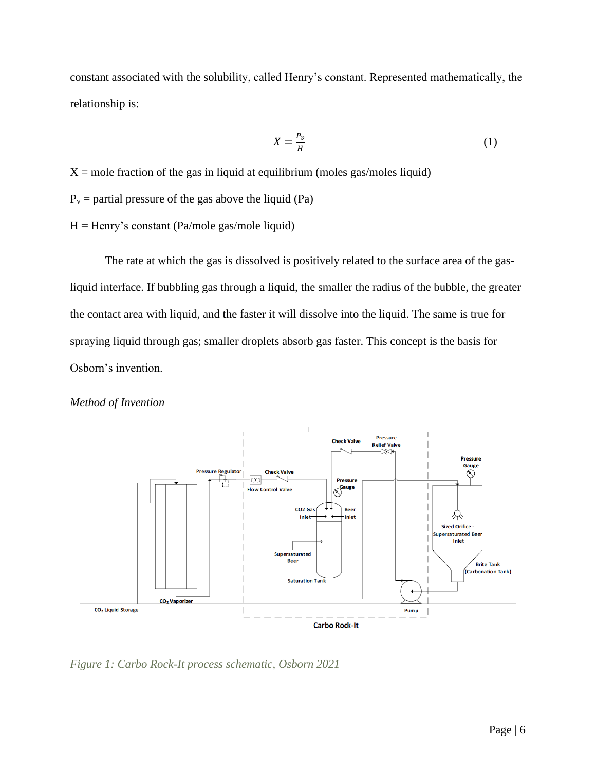constant associated with the solubility, called Henry's constant. Represented mathematically, the relationship is:

$$
X = \frac{P_v}{H} \tag{1}
$$

 $X =$  mole fraction of the gas in liquid at equilibrium (moles gas/moles liquid)

 $P_v$  = partial pressure of the gas above the liquid (Pa)

 $H =$  Henry's constant (Pa/mole gas/mole liquid)

The rate at which the gas is dissolved is positively related to the surface area of the gasliquid interface. If bubbling gas through a liquid, the smaller the radius of the bubble, the greater the contact area with liquid, and the faster it will dissolve into the liquid. The same is true for spraying liquid through gas; smaller droplets absorb gas faster. This concept is the basis for Osborn's invention.

<span id="page-6-0"></span>



<span id="page-6-1"></span>*Figure 1: Carbo Rock-It process schematic, Osborn 2021*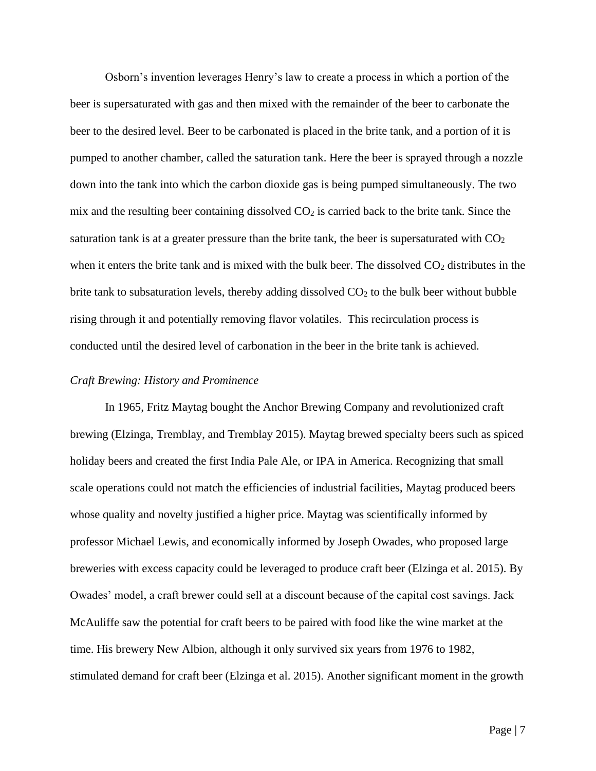Osborn's invention leverages Henry's law to create a process in which a portion of the beer is supersaturated with gas and then mixed with the remainder of the beer to carbonate the beer to the desired level. Beer to be carbonated is placed in the brite tank, and a portion of it is pumped to another chamber, called the saturation tank. Here the beer is sprayed through a nozzle down into the tank into which the carbon dioxide gas is being pumped simultaneously. The two mix and the resulting beer containing dissolved  $CO<sub>2</sub>$  is carried back to the brite tank. Since the saturation tank is at a greater pressure than the brite tank, the beer is supersaturated with  $CO<sub>2</sub>$ when it enters the brite tank and is mixed with the bulk beer. The dissolved  $CO<sub>2</sub>$  distributes in the brite tank to subsaturation levels, thereby adding dissolved  $CO<sub>2</sub>$  to the bulk beer without bubble rising through it and potentially removing flavor volatiles. This recirculation process is conducted until the desired level of carbonation in the beer in the brite tank is achieved.

#### <span id="page-7-0"></span>*Craft Brewing: History and Prominence*

In 1965, Fritz Maytag bought the Anchor Brewing Company and revolutionized craft brewing (Elzinga, Tremblay, and Tremblay 2015). Maytag brewed specialty beers such as spiced holiday beers and created the first India Pale Ale, or IPA in America. Recognizing that small scale operations could not match the efficiencies of industrial facilities, Maytag produced beers whose quality and novelty justified a higher price. Maytag was scientifically informed by professor Michael Lewis, and economically informed by Joseph Owades, who proposed large breweries with excess capacity could be leveraged to produce craft beer (Elzinga et al. 2015). By Owades' model, a craft brewer could sell at a discount because of the capital cost savings. Jack McAuliffe saw the potential for craft beers to be paired with food like the wine market at the time. His brewery New Albion, although it only survived six years from 1976 to 1982, stimulated demand for craft beer (Elzinga et al. 2015). Another significant moment in the growth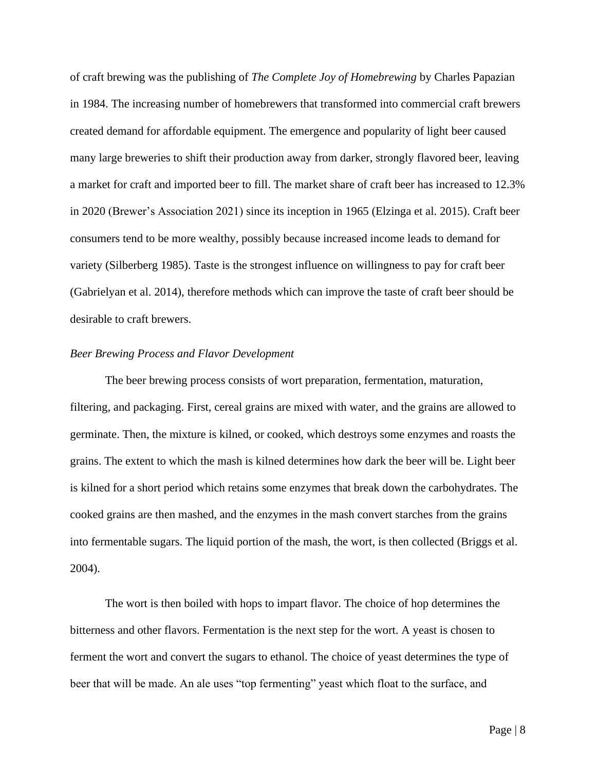of craft brewing was the publishing of *The Complete Joy of Homebrewing* by Charles Papazian in 1984. The increasing number of homebrewers that transformed into commercial craft brewers created demand for affordable equipment. The emergence and popularity of light beer caused many large breweries to shift their production away from darker, strongly flavored beer, leaving a market for craft and imported beer to fill. The market share of craft beer has increased to 12.3% in 2020 (Brewer's Association 2021) since its inception in 1965 (Elzinga et al. 2015). Craft beer consumers tend to be more wealthy, possibly because increased income leads to demand for variety (Silberberg 1985). Taste is the strongest influence on willingness to pay for craft beer (Gabrielyan et al. 2014), therefore methods which can improve the taste of craft beer should be desirable to craft brewers.

#### <span id="page-8-0"></span>*Beer Brewing Process and Flavor Development*

The beer brewing process consists of wort preparation, fermentation, maturation, filtering, and packaging. First, cereal grains are mixed with water, and the grains are allowed to germinate. Then, the mixture is kilned, or cooked, which destroys some enzymes and roasts the grains. The extent to which the mash is kilned determines how dark the beer will be. Light beer is kilned for a short period which retains some enzymes that break down the carbohydrates. The cooked grains are then mashed, and the enzymes in the mash convert starches from the grains into fermentable sugars. The liquid portion of the mash, the wort, is then collected (Briggs et al. 2004).

The wort is then boiled with hops to impart flavor. The choice of hop determines the bitterness and other flavors. Fermentation is the next step for the wort. A yeast is chosen to ferment the wort and convert the sugars to ethanol. The choice of yeast determines the type of beer that will be made. An ale uses "top fermenting" yeast which float to the surface, and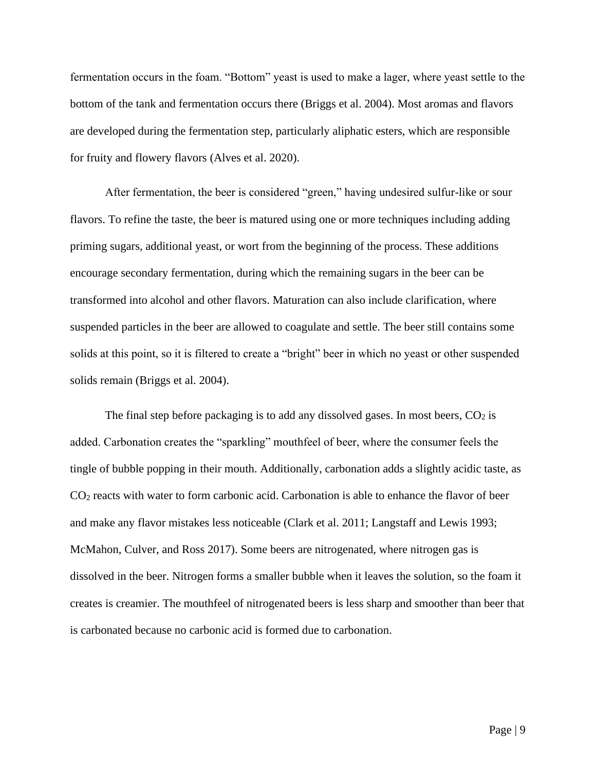fermentation occurs in the foam. "Bottom" yeast is used to make a lager, where yeast settle to the bottom of the tank and fermentation occurs there (Briggs et al. 2004). Most aromas and flavors are developed during the fermentation step, particularly aliphatic esters, which are responsible for fruity and flowery flavors (Alves et al. 2020).

After fermentation, the beer is considered "green," having undesired sulfur-like or sour flavors. To refine the taste, the beer is matured using one or more techniques including adding priming sugars, additional yeast, or wort from the beginning of the process. These additions encourage secondary fermentation, during which the remaining sugars in the beer can be transformed into alcohol and other flavors. Maturation can also include clarification, where suspended particles in the beer are allowed to coagulate and settle. The beer still contains some solids at this point, so it is filtered to create a "bright" beer in which no yeast or other suspended solids remain (Briggs et al. 2004).

The final step before packaging is to add any dissolved gases. In most beers,  $CO<sub>2</sub>$  is added. Carbonation creates the "sparkling" mouthfeel of beer, where the consumer feels the tingle of bubble popping in their mouth. Additionally, carbonation adds a slightly acidic taste, as CO<sup>2</sup> reacts with water to form carbonic acid. Carbonation is able to enhance the flavor of beer and make any flavor mistakes less noticeable (Clark et al. 2011; Langstaff and Lewis 1993; McMahon, Culver, and Ross 2017). Some beers are nitrogenated, where nitrogen gas is dissolved in the beer. Nitrogen forms a smaller bubble when it leaves the solution, so the foam it creates is creamier. The mouthfeel of nitrogenated beers is less sharp and smoother than beer that is carbonated because no carbonic acid is formed due to carbonation.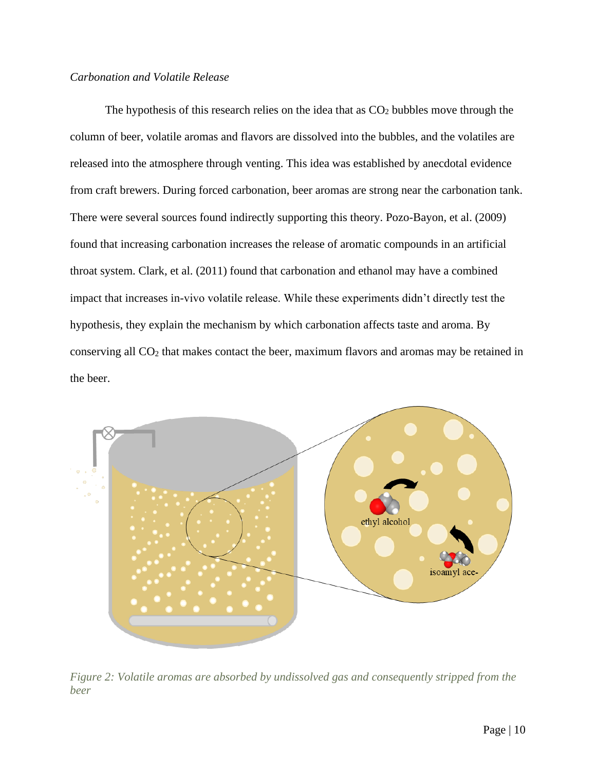#### <span id="page-10-0"></span>*Carbonation and Volatile Release*

The hypothesis of this research relies on the idea that as  $CO<sub>2</sub>$  bubbles move through the column of beer, volatile aromas and flavors are dissolved into the bubbles, and the volatiles are released into the atmosphere through venting. This idea was established by anecdotal evidence from craft brewers. During forced carbonation, beer aromas are strong near the carbonation tank. There were several sources found indirectly supporting this theory. Pozo-Bayon, et al. (2009) found that increasing carbonation increases the release of aromatic compounds in an artificial throat system. Clark, et al. (2011) found that carbonation and ethanol may have a combined impact that increases in-vivo volatile release. While these experiments didn't directly test the hypothesis, they explain the mechanism by which carbonation affects taste and aroma. By conserving all CO<sup>2</sup> that makes contact the beer, maximum flavors and aromas may be retained in the beer.



<span id="page-10-1"></span>*Figure 2: Volatile aromas are absorbed by undissolved gas and consequently stripped from the beer*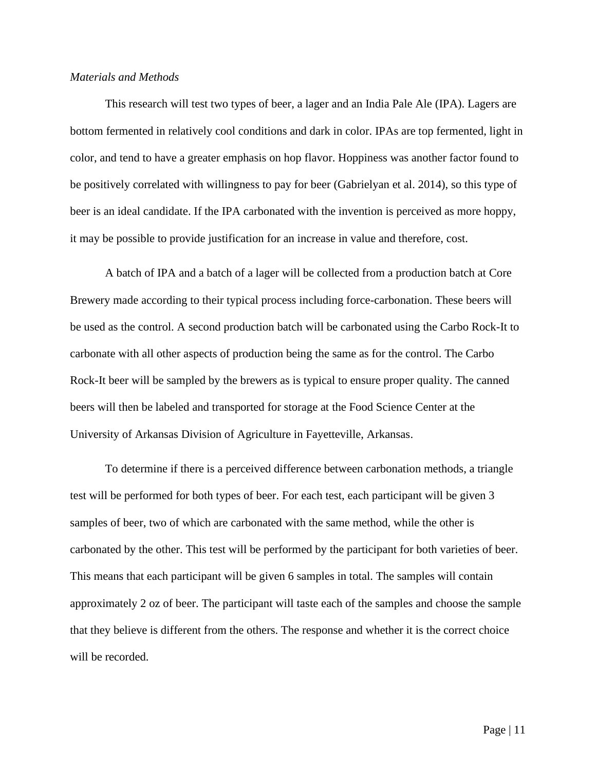#### <span id="page-11-0"></span>*Materials and Methods*

This research will test two types of beer, a lager and an India Pale Ale (IPA). Lagers are bottom fermented in relatively cool conditions and dark in color. IPAs are top fermented, light in color, and tend to have a greater emphasis on hop flavor. Hoppiness was another factor found to be positively correlated with willingness to pay for beer (Gabrielyan et al. 2014), so this type of beer is an ideal candidate. If the IPA carbonated with the invention is perceived as more hoppy, it may be possible to provide justification for an increase in value and therefore, cost.

A batch of IPA and a batch of a lager will be collected from a production batch at Core Brewery made according to their typical process including force-carbonation. These beers will be used as the control. A second production batch will be carbonated using the Carbo Rock-It to carbonate with all other aspects of production being the same as for the control. The Carbo Rock-It beer will be sampled by the brewers as is typical to ensure proper quality. The canned beers will then be labeled and transported for storage at the Food Science Center at the University of Arkansas Division of Agriculture in Fayetteville, Arkansas.

To determine if there is a perceived difference between carbonation methods, a triangle test will be performed for both types of beer. For each test, each participant will be given 3 samples of beer, two of which are carbonated with the same method, while the other is carbonated by the other. This test will be performed by the participant for both varieties of beer. This means that each participant will be given 6 samples in total. The samples will contain approximately 2 oz of beer. The participant will taste each of the samples and choose the sample that they believe is different from the others. The response and whether it is the correct choice will be recorded.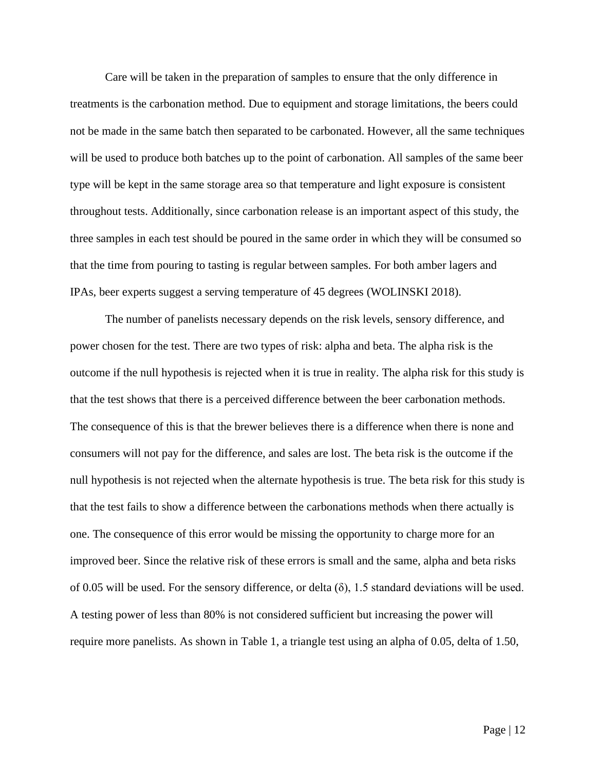Care will be taken in the preparation of samples to ensure that the only difference in treatments is the carbonation method. Due to equipment and storage limitations, the beers could not be made in the same batch then separated to be carbonated. However, all the same techniques will be used to produce both batches up to the point of carbonation. All samples of the same beer type will be kept in the same storage area so that temperature and light exposure is consistent throughout tests. Additionally, since carbonation release is an important aspect of this study, the three samples in each test should be poured in the same order in which they will be consumed so that the time from pouring to tasting is regular between samples. For both amber lagers and IPAs, beer experts suggest a serving temperature of 45 degrees (WOLINSKI 2018).

The number of panelists necessary depends on the risk levels, sensory difference, and power chosen for the test. There are two types of risk: alpha and beta. The alpha risk is the outcome if the null hypothesis is rejected when it is true in reality. The alpha risk for this study is that the test shows that there is a perceived difference between the beer carbonation methods. The consequence of this is that the brewer believes there is a difference when there is none and consumers will not pay for the difference, and sales are lost. The beta risk is the outcome if the null hypothesis is not rejected when the alternate hypothesis is true. The beta risk for this study is that the test fails to show a difference between the carbonations methods when there actually is one. The consequence of this error would be missing the opportunity to charge more for an improved beer. Since the relative risk of these errors is small and the same, alpha and beta risks of 0.05 will be used. For the sensory difference, or delta  $(\delta)$ , 1.5 standard deviations will be used. A testing power of less than 80% is not considered sufficient but increasing the power will require more panelists. As shown in [Table 1,](#page-13-0) a triangle test using an alpha of 0.05, delta of 1.50,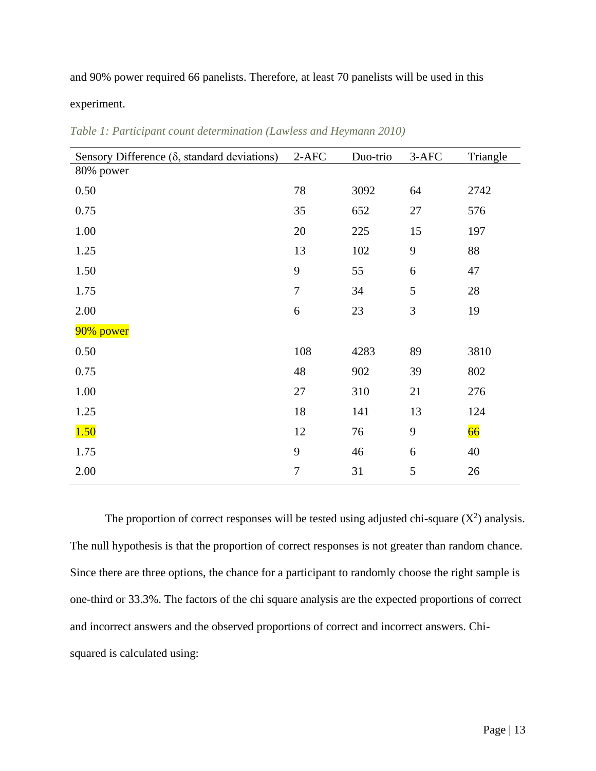and 90% power required 66 panelists. Therefore, at least 70 panelists will be used in this

experiment.

| Sensory Difference $(\delta,$ standard deviations) | $2-AFC$        | Duo-trio | 3-AFC | Triangle |
|----------------------------------------------------|----------------|----------|-------|----------|
| 80% power                                          |                |          |       |          |
| 0.50                                               | 78             | 3092     | 64    | 2742     |
| 0.75                                               | 35             | 652      | 27    | 576      |
| 1.00                                               | 20             | 225      | 15    | 197      |
| 1.25                                               | 13             | 102      | 9     | 88       |
| 1.50                                               | 9              | 55       | 6     | 47       |
| 1.75                                               | $\overline{7}$ | 34       | 5     | 28       |
| 2.00                                               | 6              | 23       | 3     | 19       |
| 90% power                                          |                |          |       |          |
| 0.50                                               | 108            | 4283     | 89    | 3810     |
| 0.75                                               | 48             | 902      | 39    | 802      |
| 1.00                                               | 27             | 310      | 21    | 276      |
| 1.25                                               | 18             | 141      | 13    | 124      |
| 1.50                                               | 12             | 76       | 9     | 66       |
| 1.75                                               | 9              | 46       | 6     | 40       |
| 2.00                                               | $\overline{7}$ | 31       | 5     | 26       |

<span id="page-13-0"></span>*Table 1: Participant count determination (Lawless and Heymann 2010)*

The proportion of correct responses will be tested using adjusted chi-square  $(X^2)$  analysis. The null hypothesis is that the proportion of correct responses is not greater than random chance. Since there are three options, the chance for a participant to randomly choose the right sample is one-third or 33.3%. The factors of the chi square analysis are the expected proportions of correct and incorrect answers and the observed proportions of correct and incorrect answers. Chisquared is calculated using: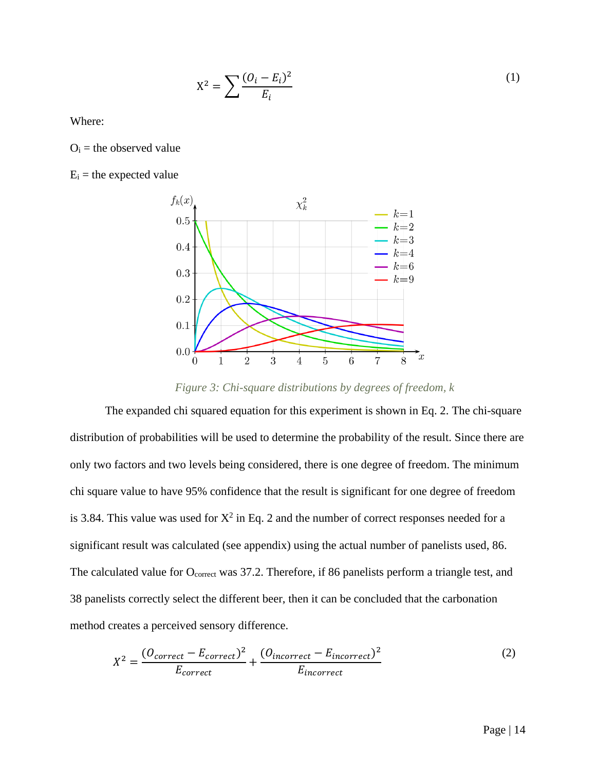$$
X^{2} = \sum \frac{(O_{i} - E_{i})^{2}}{E_{i}} \tag{1}
$$

Where:

 $O_i$  = the observed value

 $E_i$  = the expected value



*Figure 3: Chi-square distributions by degrees of freedom, k*

<span id="page-14-0"></span>The expanded chi squared equation for this experiment is shown in Eq. 2. The chi-square distribution of probabilities will be used to determine the probability of the result. Since there are only two factors and two levels being considered, there is one degree of freedom. The minimum chi square value to have 95% confidence that the result is significant for one degree of freedom is 3.84. This value was used for  $X^2$  in Eq. 2 and the number of correct responses needed for a significant result was calculated (see appendix) using the actual number of panelists used, 86. The calculated value for O<sub>correct</sub> was 37.2. Therefore, if 86 panelists perform a triangle test, and 38 panelists correctly select the different beer, then it can be concluded that the carbonation method creates a perceived sensory difference.

$$
X^{2} = \frac{(O_{correct} - E_{correct})^{2}}{E_{correct}} + \frac{(O_{incorrect} - E_{incorrect})^{2}}{E_{incorrect}}
$$
 (2)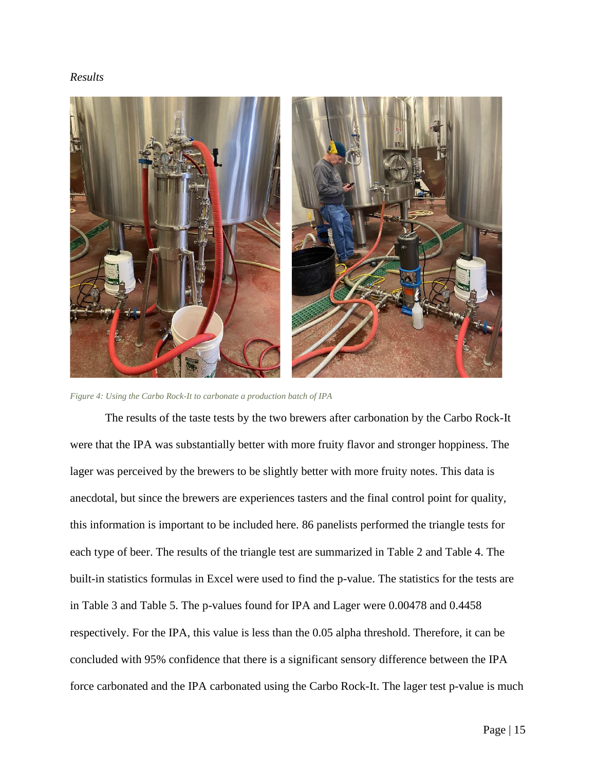#### <span id="page-15-0"></span>*Results*



*Figure 4: Using the Carbo Rock-It to carbonate a production batch of IPA*

<span id="page-15-1"></span>The results of the taste tests by the two brewers after carbonation by the Carbo Rock-It were that the IPA was substantially better with more fruity flavor and stronger hoppiness. The lager was perceived by the brewers to be slightly better with more fruity notes. This data is anecdotal, but since the brewers are experiences tasters and the final control point for quality, this information is important to be included here. 86 panelists performed the triangle tests for each type of beer. The results of the triangle test are summarized in [Table 2](#page-16-1) and [Table 4.](#page-16-3) The built-in statistics formulas in Excel were used to find the p-value. The statistics for the tests are in [Table 3](#page-16-2) and [Table 5.](#page-16-4) The p-values found for IPA and Lager were 0.00478 and 0.4458 respectively. For the IPA, this value is less than the 0.05 alpha threshold. Therefore, it can be concluded with 95% confidence that there is a significant sensory difference between the IPA force carbonated and the IPA carbonated using the Carbo Rock-It. The lager test p-value is much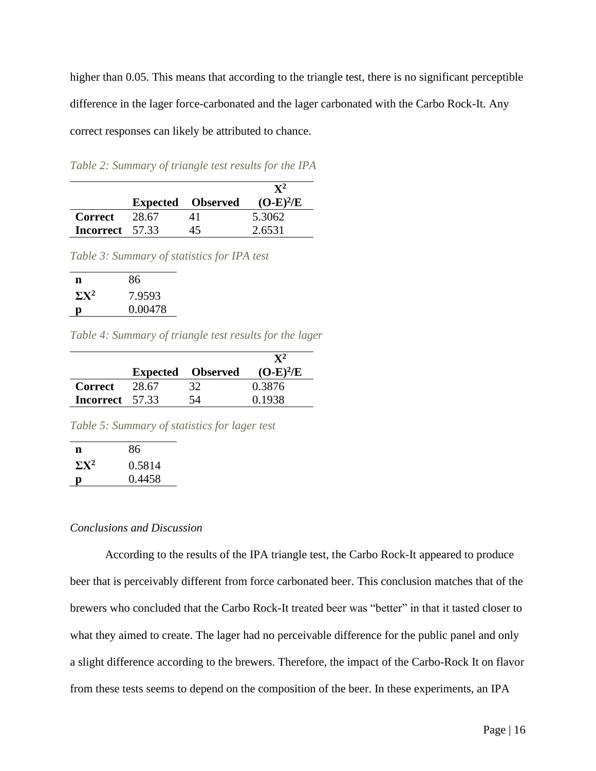higher than 0.05. This means that according to the triangle test, there is no significant perceptible difference in the lager force-carbonated and the lager carbonated with the Carbo Rock-It. Any correct responses can likely be attributed to chance.

<span id="page-16-1"></span>*Table 2: Summary of triangle test results for the IPA*

|                 |       | <b>Expected</b> Observed | $\mathbf{Y}^{\mathbf{2}}$<br>$(O-E)^2/E$ |
|-----------------|-------|--------------------------|------------------------------------------|
| <b>Correct</b>  | 28.67 |                          | 5.3062                                   |
| Incorrect 57.33 |       | 45                       | 2.6531                                   |

<span id="page-16-2"></span>*Table 3: Summary of statistics for IPA test*

| n            | 86      |
|--------------|---------|
| $\Sigma X^2$ | 7.9593  |
| D            | 0.00478 |

<span id="page-16-3"></span>*Table 4: Summary of triangle test results for the lager*

|                        |       | <b>Expected</b> Observed | $(O-E)^2/E$ |
|------------------------|-------|--------------------------|-------------|
| <b>Correct</b>         | 28.67 | 32                       | 0.3876      |
| <b>Incorrect</b> 57.33 |       | 54                       | 0.1938      |
|                        |       |                          |             |

<span id="page-16-4"></span>*Table 5: Summary of statistics for lager test*

| n            | 86     |
|--------------|--------|
| $\Sigma X^2$ | 0.5814 |
|              | 0.4458 |

#### <span id="page-16-0"></span>*Conclusions and Discussion*

According to the results of the IPA triangle test, the Carbo Rock-It appeared to produce beer that is perceivably different from force carbonated beer. This conclusion matches that of the brewers who concluded that the Carbo Rock-It treated beer was "better" in that it tasted closer to what they aimed to create. The lager had no perceivable difference for the public panel and only a slight difference according to the brewers. Therefore, the impact of the Carbo-Rock It on flavor from these tests seems to depend on the composition of the beer. In these experiments, an IPA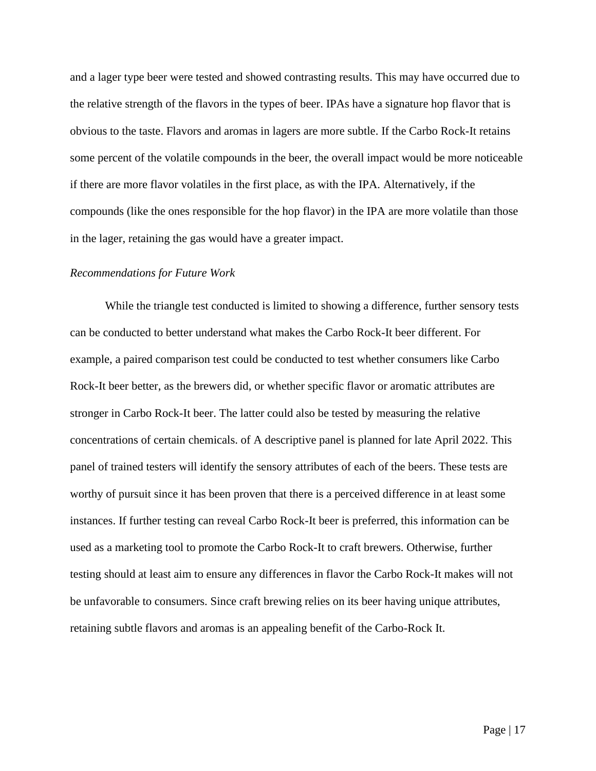and a lager type beer were tested and showed contrasting results. This may have occurred due to the relative strength of the flavors in the types of beer. IPAs have a signature hop flavor that is obvious to the taste. Flavors and aromas in lagers are more subtle. If the Carbo Rock-It retains some percent of the volatile compounds in the beer, the overall impact would be more noticeable if there are more flavor volatiles in the first place, as with the IPA. Alternatively, if the compounds (like the ones responsible for the hop flavor) in the IPA are more volatile than those in the lager, retaining the gas would have a greater impact.

#### <span id="page-17-0"></span>*Recommendations for Future Work*

While the triangle test conducted is limited to showing a difference, further sensory tests can be conducted to better understand what makes the Carbo Rock-It beer different. For example, a paired comparison test could be conducted to test whether consumers like Carbo Rock-It beer better, as the brewers did, or whether specific flavor or aromatic attributes are stronger in Carbo Rock-It beer. The latter could also be tested by measuring the relative concentrations of certain chemicals. of A descriptive panel is planned for late April 2022. This panel of trained testers will identify the sensory attributes of each of the beers. These tests are worthy of pursuit since it has been proven that there is a perceived difference in at least some instances. If further testing can reveal Carbo Rock-It beer is preferred, this information can be used as a marketing tool to promote the Carbo Rock-It to craft brewers. Otherwise, further testing should at least aim to ensure any differences in flavor the Carbo Rock-It makes will not be unfavorable to consumers. Since craft brewing relies on its beer having unique attributes, retaining subtle flavors and aromas is an appealing benefit of the Carbo-Rock It.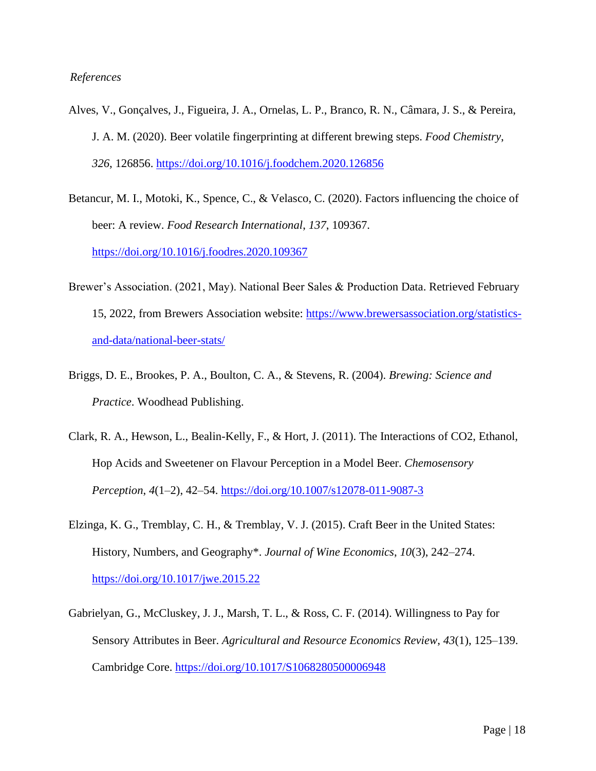#### <span id="page-18-0"></span>*References*

- Alves, V., Gonçalves, J., Figueira, J. A., Ornelas, L. P., Branco, R. N., Câmara, J. S., & Pereira, J. A. M. (2020). Beer volatile fingerprinting at different brewing steps. *Food Chemistry*, *326*, 126856.<https://doi.org/10.1016/j.foodchem.2020.126856>
- Betancur, M. I., Motoki, K., Spence, C., & Velasco, C. (2020). Factors influencing the choice of beer: A review. *Food Research International*, *137*, 109367. <https://doi.org/10.1016/j.foodres.2020.109367>
- Brewer's Association. (2021, May). National Beer Sales & Production Data. Retrieved February 15, 2022, from Brewers Association website: [https://www.brewersassociation.org/statistics](https://www.brewersassociation.org/statistics-and-data/national-beer-stats/)[and-data/national-beer-stats/](https://www.brewersassociation.org/statistics-and-data/national-beer-stats/)
- Briggs, D. E., Brookes, P. A., Boulton, C. A., & Stevens, R. (2004). *Brewing: Science and Practice*. Woodhead Publishing.
- Clark, R. A., Hewson, L., Bealin-Kelly, F., & Hort, J. (2011). The Interactions of CO2, Ethanol, Hop Acids and Sweetener on Flavour Perception in a Model Beer. *Chemosensory Perception*, *4*(1–2), 42–54.<https://doi.org/10.1007/s12078-011-9087-3>
- Elzinga, K. G., Tremblay, C. H., & Tremblay, V. J. (2015). Craft Beer in the United States: History, Numbers, and Geography\*. *Journal of Wine Economics*, *10*(3), 242–274. <https://doi.org/10.1017/jwe.2015.22>
- Gabrielyan, G., McCluskey, J. J., Marsh, T. L., & Ross, C. F. (2014). Willingness to Pay for Sensory Attributes in Beer. *Agricultural and Resource Economics Review*, *43*(1), 125–139. Cambridge Core.<https://doi.org/10.1017/S1068280500006948>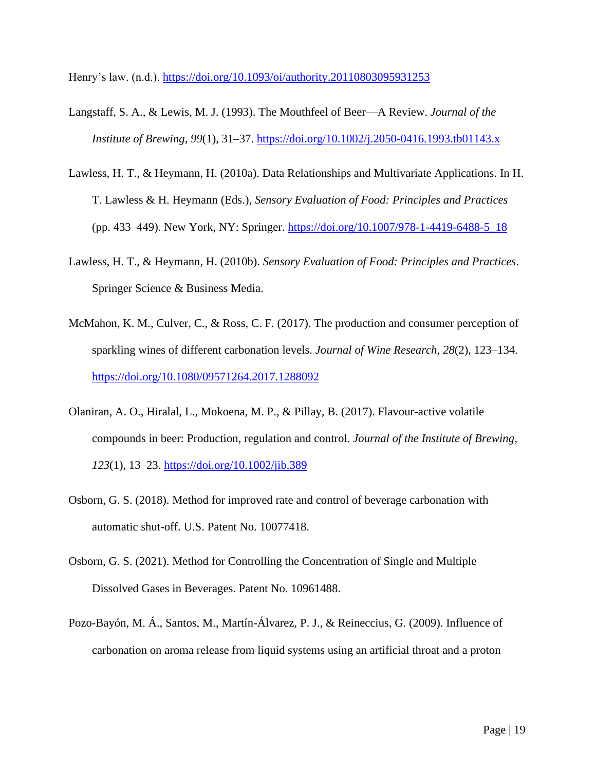Henry's law. (n.d.).<https://doi.org/10.1093/oi/authority.20110803095931253>

- Langstaff, S. A., & Lewis, M. J. (1993). The Mouthfeel of Beer—A Review. *Journal of the Institute of Brewing*, *99*(1), 31–37.<https://doi.org/10.1002/j.2050-0416.1993.tb01143.x>
- Lawless, H. T., & Heymann, H. (2010a). Data Relationships and Multivariate Applications. In H. T. Lawless & H. Heymann (Eds.), *Sensory Evaluation of Food: Principles and Practices* (pp. 433–449). New York, NY: Springer. [https://doi.org/10.1007/978-1-4419-6488-5\\_18](https://doi.org/10.1007/978-1-4419-6488-5_18)
- Lawless, H. T., & Heymann, H. (2010b). *Sensory Evaluation of Food: Principles and Practices*. Springer Science & Business Media.
- McMahon, K. M., Culver, C., & Ross, C. F. (2017). The production and consumer perception of sparkling wines of different carbonation levels. *Journal of Wine Research*, *28*(2), 123–134. <https://doi.org/10.1080/09571264.2017.1288092>
- Olaniran, A. O., Hiralal, L., Mokoena, M. P., & Pillay, B. (2017). Flavour-active volatile compounds in beer: Production, regulation and control. *Journal of the Institute of Brewing*, *123*(1), 13–23.<https://doi.org/10.1002/jib.389>
- Osborn, G. S. (2018). Method for improved rate and control of beverage carbonation with automatic shut-off. U.S. Patent No. 10077418.
- Osborn, G. S. (2021). Method for Controlling the Concentration of Single and Multiple Dissolved Gases in Beverages. Patent No. 10961488.
- Pozo-Bayón, M. Á., Santos, M., Martín-Álvarez, P. J., & Reineccius, G. (2009). Influence of carbonation on aroma release from liquid systems using an artificial throat and a proton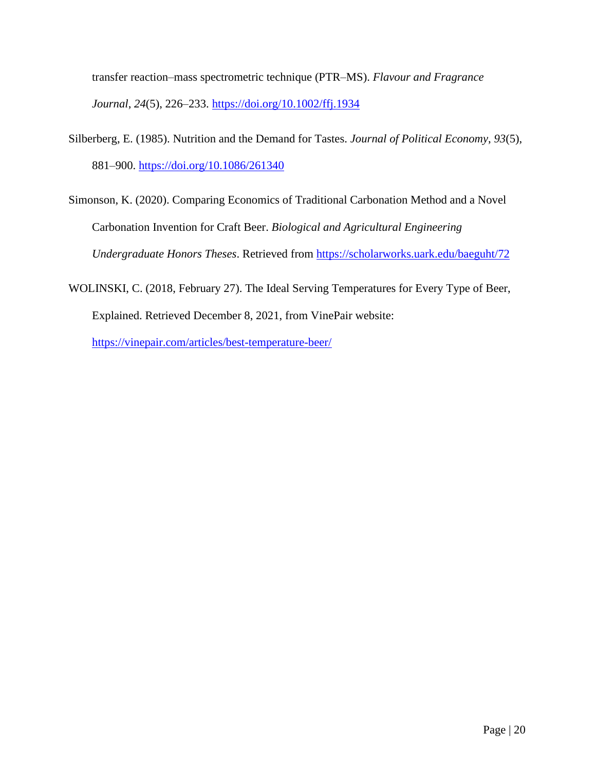transfer reaction–mass spectrometric technique (PTR–MS). *Flavour and Fragrance Journal*, *24*(5), 226–233.<https://doi.org/10.1002/ffj.1934>

- Silberberg, E. (1985). Nutrition and the Demand for Tastes. *Journal of Political Economy*, *93*(5), 881–900.<https://doi.org/10.1086/261340>
- Simonson, K. (2020). Comparing Economics of Traditional Carbonation Method and a Novel Carbonation Invention for Craft Beer. *Biological and Agricultural Engineering Undergraduate Honors Theses*. Retrieved from<https://scholarworks.uark.edu/baeguht/72>
- WOLINSKI, C. (2018, February 27). The Ideal Serving Temperatures for Every Type of Beer, Explained. Retrieved December 8, 2021, from VinePair website:

<https://vinepair.com/articles/best-temperature-beer/>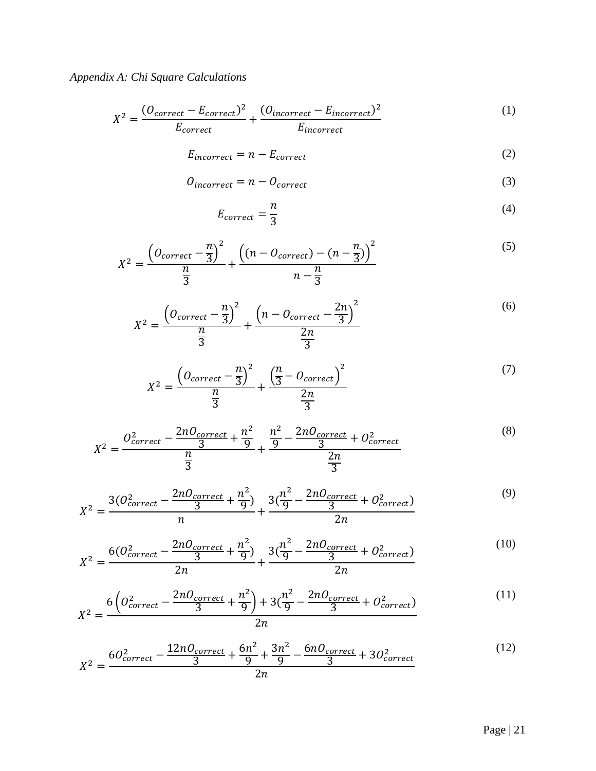# <span id="page-21-0"></span>*Appendix A: Chi Square Calculations*

$$
X^{2} = \frac{(O_{correct} - E_{correct})^{2}}{E_{correct}} + \frac{(O_{incorrect} - E_{incorrect})^{2}}{E_{incorrect}} \tag{1}
$$

$$
E_{incorrect} = n - E_{correct} \tag{2}
$$

$$
O_{incorrect} = n - O_{correct} \tag{3}
$$

$$
E_{correct} = \frac{n}{3} \tag{4}
$$

$$
X^{2} = \frac{\left(0_{correct} - \frac{n}{3}\right)^{2}}{\frac{n}{3}} + \frac{\left((n - 0_{correct}) - (n - \frac{n}{3})\right)^{2}}{n - \frac{n}{3}}
$$
(5)

$$
X^{2} = \frac{\left(0_{correct} - \frac{n}{3}\right)^{2}}{\frac{n}{3}} + \frac{\left(n - 0_{correct} - \frac{2n}{3}\right)^{2}}{\frac{2n}{3}}
$$
(6)

$$
X^{2} = \frac{\left(0_{correct} - \frac{n}{3}\right)^{2}}{\frac{n}{3}} + \frac{\left(\frac{n}{3} - 0_{correct}\right)^{2}}{\frac{2n}{3}}
$$
(7)

$$
X^{2} = \frac{O_{correct}^{2} - \frac{2nO_{correct}}{3} + \frac{n^{2}}{9}}{\frac{n}{3}} + \frac{\frac{n^{2}}{9} - \frac{2nO_{correct}}{3} + O_{correct}^{2}}{\frac{2n}{3}}
$$
(8)

$$
X^{2} = \frac{3(0_{correct}^{2} - \frac{2n0_{correct}}{3} + \frac{n^{2}}{9})}{n} + \frac{3(\frac{n^{2}}{9} - \frac{2n0_{correct}}{3} + 0_{correct}^{2})}{2n}
$$
(9)

$$
X^{2} = \frac{6(O_{correct}^{2} - \frac{2nO_{correct}}{3} + \frac{n^{2}}{9})}{2n} + \frac{3(\frac{n^{2}}{9} - \frac{2nO_{correct}}{3} + O_{correct}^{2})}{2n}
$$
(10)

$$
X^{2} = \frac{6\left(O_{correct}^{2} - \frac{2nO_{correct}}{3} + \frac{n^{2}}{9}\right) + 3(\frac{n^{2}}{9} - \frac{2nO_{correct}}{3} + O_{correct}^{2})}{2n}
$$
(11)

$$
X^{2} = \frac{60^{2}_{correct} - \frac{12n0_{correct}}{3} + \frac{6n^{2}}{9} + \frac{3n^{2}}{9} - \frac{6n0_{correct}}{3} + 30^{2}_{correct}}{2n}
$$
(12)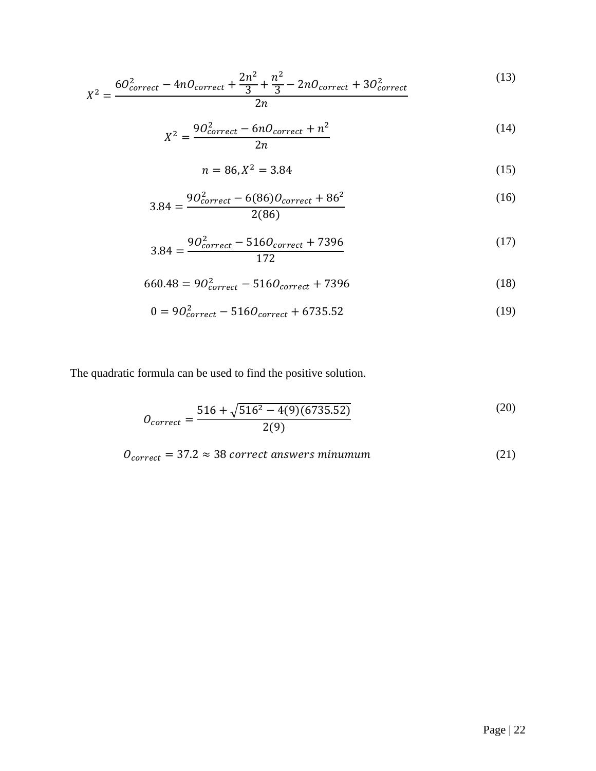$$
X^{2} = \frac{60^{2}_{correct} - 4n0_{correct} + \frac{2n^{2}}{3} + \frac{n^{2}}{3} - 2n0_{correct} + 30_{correct}^{2}}{2n}
$$
(13)

$$
X^2 = \frac{90^2_{correct} - 6n0_{correct} + n^2}{2n}
$$
 (14)

$$
n = 86, X^2 = 3.84 \tag{15}
$$

$$
3.84 = \frac{90_{correct}^{2} - 6(86)0_{correct} + 86^{2}}{2(86)}
$$
 (16)

$$
3.84 = \frac{90_{correct}^{2} - 5160_{correct} + 7396}{172}
$$
 (17)

$$
660.48 = 90_{correct}^2 - 5160_{correct} + 7396
$$
 (18)

$$
0 = 90_{correct}^2 - 5160_{correct} + 6735.52
$$
 (19)

The quadratic formula can be used to find the positive solution.

$$
O_{correct} = \frac{516 + \sqrt{516^2 - 4(9)(6735.52)}}{2(9)}
$$
(20)

$$
0_{correct} = 37.2 \approx 38 correct answers minimum
$$
\n
$$
(21)
$$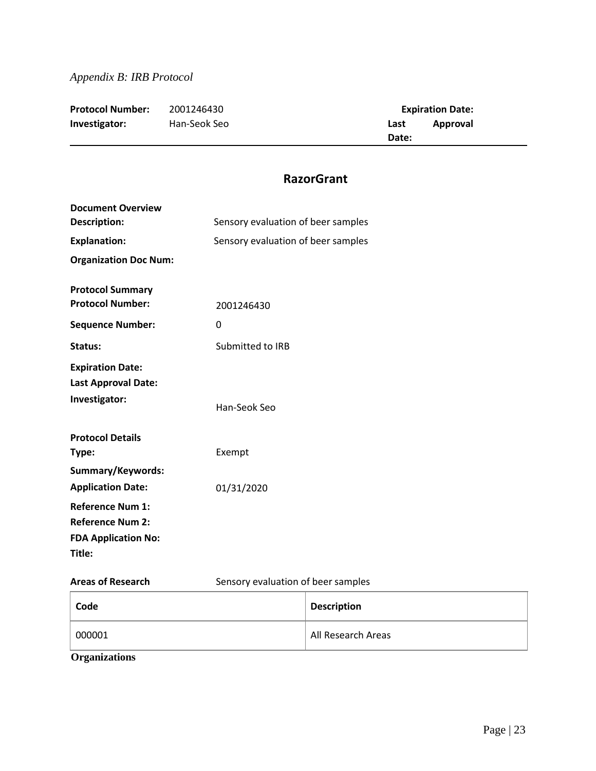<span id="page-23-0"></span>

| <b>Protocol Number:</b> | 2001246430   |       | <b>Expiration Date:</b> |
|-------------------------|--------------|-------|-------------------------|
| Investigator:           | Han-Seok Seo | Last  | Approval                |
|                         |              | Date: |                         |

## **RazorGrant**

| <b>Document Overview</b><br><b>Description:</b>                                            | Sensory evaluation of beer samples |  |
|--------------------------------------------------------------------------------------------|------------------------------------|--|
| <b>Explanation:</b>                                                                        | Sensory evaluation of beer samples |  |
| <b>Organization Doc Num:</b>                                                               |                                    |  |
| <b>Protocol Summary</b><br><b>Protocol Number:</b><br><b>Sequence Number:</b>              | 2001246430<br>0                    |  |
| Status:                                                                                    | Submitted to IRB                   |  |
| <b>Expiration Date:</b><br><b>Last Approval Date:</b><br>Investigator:                     | Han-Seok Seo                       |  |
| <b>Protocol Details</b><br>Type:                                                           | Exempt                             |  |
| Summary/Keywords:<br><b>Application Date:</b>                                              | 01/31/2020                         |  |
| <b>Reference Num 1:</b><br><b>Reference Num 2:</b><br><b>FDA Application No:</b><br>Title: |                                    |  |
| <b>Areas of Research</b>                                                                   | Sensory evaluation of beer samples |  |

| Code                 | <b>Description</b> |
|----------------------|--------------------|
| 000001               | All Research Areas |
| <b>Organizations</b> |                    |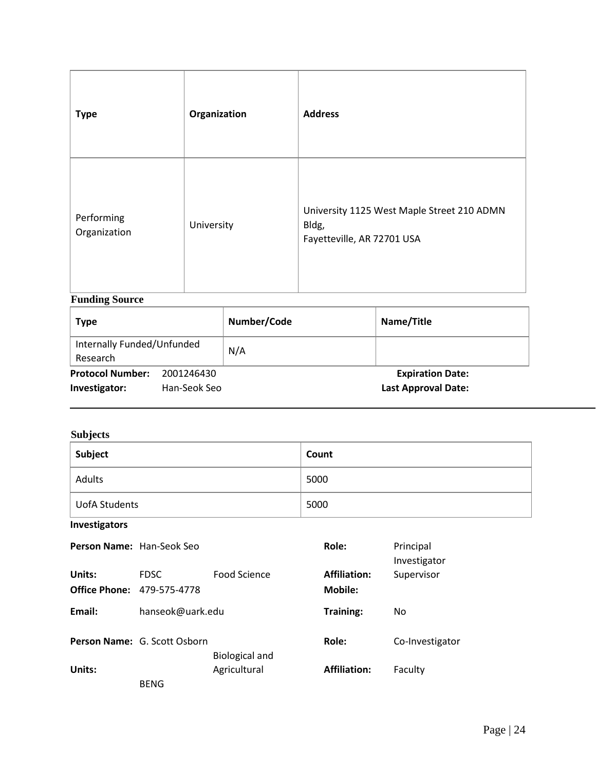| <b>Type</b>                | Organization | <b>Address</b>                                                                    |
|----------------------------|--------------|-----------------------------------------------------------------------------------|
| Performing<br>Organization | University   | University 1125 West Maple Street 210 ADMN<br>Bldg,<br>Fayetteville, AR 72701 USA |

## **Funding Source**

| <b>Type</b>                            |              | Number/Code | Name/Title                 |
|----------------------------------------|--------------|-------------|----------------------------|
| Internally Funded/Unfunded<br>Research |              | N/A         |                            |
| <b>Protocol Number:</b>                | 2001246430   |             | <b>Expiration Date:</b>    |
| Investigator:                          | Han-Seok Seo |             | <b>Last Approval Date:</b> |

## **Subjects**

| Subject       | Count |
|---------------|-------|
| Adults        | 5000  |
| UofA Students | 5000  |

**Investigators**

| Person Name: Han-Seok Seo      |                              |                       | Role:                          | Principal<br>Investigator |
|--------------------------------|------------------------------|-----------------------|--------------------------------|---------------------------|
| Units:<br><b>Office Phone:</b> | <b>FDSC</b><br>479-575-4778  | Food Science          | <b>Affiliation:</b><br>Mobile: | Supervisor                |
| Email:                         | hanseok@uark.edu             |                       | Training:                      | No                        |
|                                | Person Name: G. Scott Osborn | <b>Biological and</b> | Role:                          | Co-Investigator           |
| Units:                         | <b>BENG</b>                  | Agricultural          | <b>Affiliation:</b>            | Faculty                   |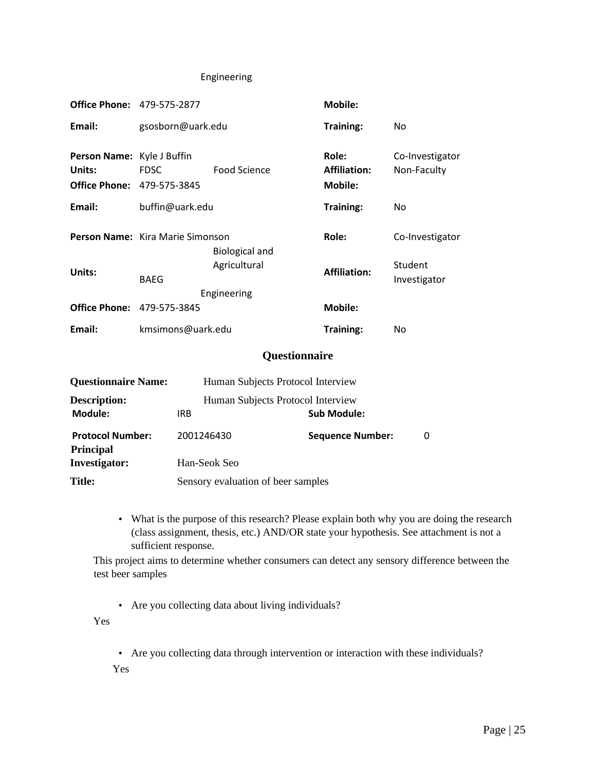#### Engineering

| <b>Office Phone: 479-575-2877</b>                                         |                                  |                                   | <b>Mobile:</b>                                 |                                |
|---------------------------------------------------------------------------|----------------------------------|-----------------------------------|------------------------------------------------|--------------------------------|
| Email:                                                                    | gsosborn@uark.edu                |                                   | Training:                                      | No                             |
| Person Name: Kyle J Buffin<br>Units:<br><b>Office Phone: 479-575-3845</b> | <b>FDSC</b>                      | Food Science                      | Role:<br><b>Affiliation:</b><br><b>Mobile:</b> | Co-Investigator<br>Non-Faculty |
| Email:                                                                    | buffin@uark.edu                  |                                   | Training:                                      | No                             |
|                                                                           | Person Name: Kira Marie Simonson | <b>Biological and</b>             | Role:                                          | Co-Investigator                |
| Units:                                                                    | <b>BAEG</b>                      | Agricultural<br>Engineering       | <b>Affiliation:</b>                            | Student<br>Investigator        |
| <b>Office Phone: 479-575-3845</b>                                         |                                  |                                   | <b>Mobile:</b>                                 |                                |
| Email:                                                                    | kmsimons@uark.edu                |                                   | Training:                                      | No                             |
|                                                                           |                                  | Questionnaire                     |                                                |                                |
| <b>Questionnaire Name:</b>                                                |                                  | Human Subjects Protocol Interview |                                                |                                |
| <b>Description:</b><br>Module:                                            | <b>IRB</b>                       | Human Subjects Protocol Interview | <b>Sub Module:</b>                             |                                |
| <b>Protocol Number:</b><br><b>Principal</b>                               | 2001246430                       |                                   | <b>Sequence Number:</b>                        | 0                              |

Title: Sensory evaluation of beer samples

**Investigator:** Han-Seok Seo

• What is the purpose of this research? Please explain both why you are doing the research (class assignment, thesis, etc.) AND/OR state your hypothesis. See attachment is not a sufficient response.

This project aims to determine whether consumers can detect any sensory difference between the test beer samples

• Are you collecting data about living individuals?

Yes

• Are you collecting data through intervention or interaction with these individuals?

Yes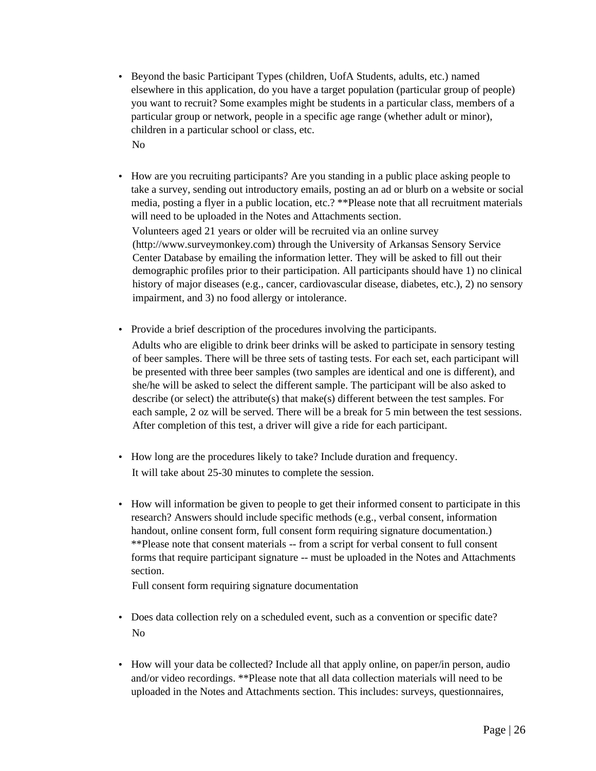- Beyond the basic Participant Types (children, UofA Students, adults, etc.) named elsewhere in this application, do you have a target population (particular group of people) you want to recruit? Some examples might be students in a particular class, members of a particular group or network, people in a specific age range (whether adult or minor), children in a particular school or class, etc. No
- How are you recruiting participants? Are you standing in a public place asking people to take a survey, sending out introductory emails, posting an ad or blurb on a website or social media, posting a flyer in a public location, etc.? \*\*Please note that all recruitment materials will need to be uploaded in the Notes and Attachments section. Volunteers aged 21 years or older will be recruited via an online survey (http://www.surveymonkey.com) through the University of Arkansas Sensory Service Center Database by emailing the information letter. They will be asked to fill out their demographic profiles prior to their participation. All participants should have 1) no clinical history of major diseases (e.g., cancer, cardiovascular disease, diabetes, etc.), 2) no sensory impairment, and 3) no food allergy or intolerance.
- Provide a brief description of the procedures involving the participants.

Adults who are eligible to drink beer drinks will be asked to participate in sensory testing of beer samples. There will be three sets of tasting tests. For each set, each participant will be presented with three beer samples (two samples are identical and one is different), and she/he will be asked to select the different sample. The participant will be also asked to describe (or select) the attribute(s) that make(s) different between the test samples. For each sample, 2 oz will be served. There will be a break for 5 min between the test sessions. After completion of this test, a driver will give a ride for each participant.

- How long are the procedures likely to take? Include duration and frequency. It will take about 25-30 minutes to complete the session.
- How will information be given to people to get their informed consent to participate in this research? Answers should include specific methods (e.g., verbal consent, information handout, online consent form, full consent form requiring signature documentation.) \*\*Please note that consent materials -- from a script for verbal consent to full consent forms that require participant signature -- must be uploaded in the Notes and Attachments section.

Full consent form requiring signature documentation

- Does data collection rely on a scheduled event, such as a convention or specific date? No
- How will your data be collected? Include all that apply online, on paper/in person, audio and/or video recordings. \*\*Please note that all data collection materials will need to be uploaded in the Notes and Attachments section. This includes: surveys, questionnaires,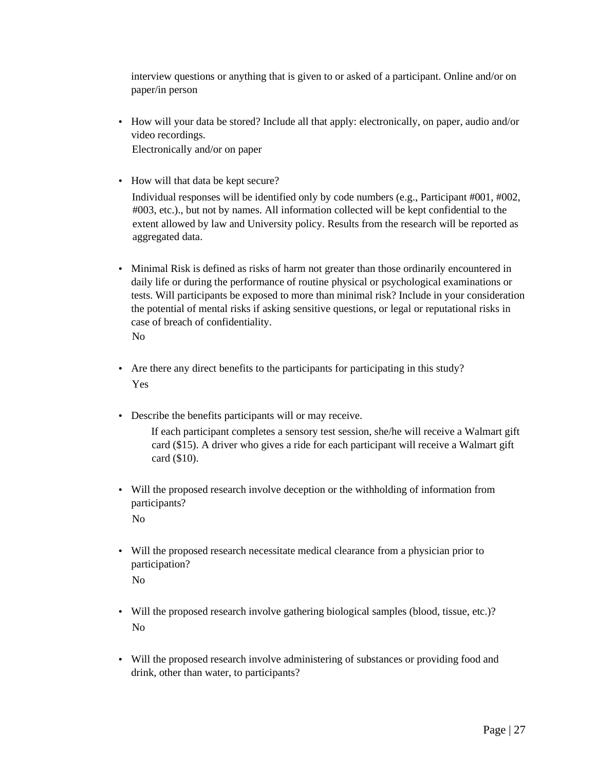interview questions or anything that is given to or asked of a participant. Online and/or on paper/in person

- How will your data be stored? Include all that apply: electronically, on paper, audio and/or video recordings. Electronically and/or on paper
- How will that data be kept secure?

Individual responses will be identified only by code numbers (e.g., Participant #001, #002, #003, etc.)., but not by names. All information collected will be kept confidential to the extent allowed by law and University policy. Results from the research will be reported as aggregated data.

- Minimal Risk is defined as risks of harm not greater than those ordinarily encountered in daily life or during the performance of routine physical or psychological examinations or tests. Will participants be exposed to more than minimal risk? Include in your consideration the potential of mental risks if asking sensitive questions, or legal or reputational risks in case of breach of confidentiality. No
- Are there any direct benefits to the participants for participating in this study? Yes
- Describe the benefits participants will or may receive.

If each participant completes a sensory test session, she/he will receive a Walmart gift card (\$15). A driver who gives a ride for each participant will receive a Walmart gift card (\$10).

• Will the proposed research involve deception or the withholding of information from participants?

No

• Will the proposed research necessitate medical clearance from a physician prior to participation?

No

- Will the proposed research involve gathering biological samples (blood, tissue, etc.)? No
- Will the proposed research involve administering of substances or providing food and drink, other than water, to participants?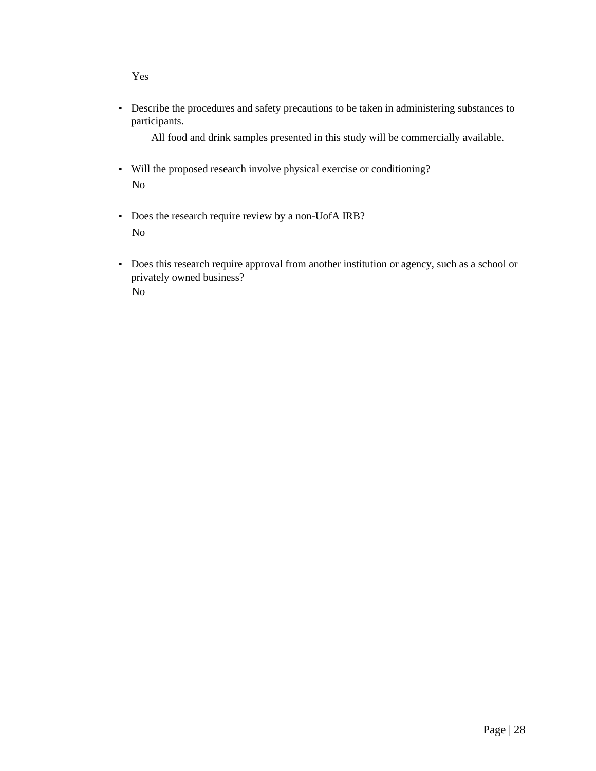Yes

• Describe the procedures and safety precautions to be taken in administering substances to participants.

All food and drink samples presented in this study will be commercially available.

- Will the proposed research involve physical exercise or conditioning? No
- Does the research require review by a non-UofA IRB? No
- Does this research require approval from another institution or agency, such as a school or privately owned business? No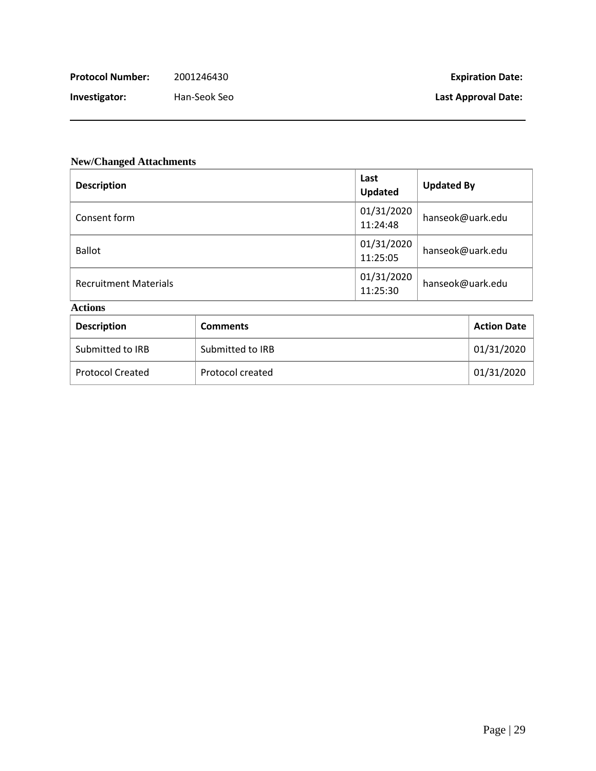| Protocol Number: | 2001246430 |
|------------------|------------|
|------------------|------------|

**Investigator:** Han-Seok Seo **Last Approval Date:**

### **New/Changed Attachments**

| <b>Description</b>           | Last<br><b>Updated</b> | <b>Updated By</b> |
|------------------------------|------------------------|-------------------|
| Consent form                 | 01/31/2020<br>11:24:48 | hanseok@uark.edu  |
| <b>Ballot</b>                | 01/31/2020<br>11:25:05 | hanseok@uark.edu  |
| <b>Recruitment Materials</b> | 01/31/2020<br>11:25:30 | hanseok@uark.edu  |

## **Actions**

| <b>Description</b>      | <b>Comments</b>  | <b>Action Date</b> |
|-------------------------|------------------|--------------------|
| Submitted to IRB        | Submitted to IRB | 01/31/2020         |
| <b>Protocol Created</b> | Protocol created | 01/31/2020         |